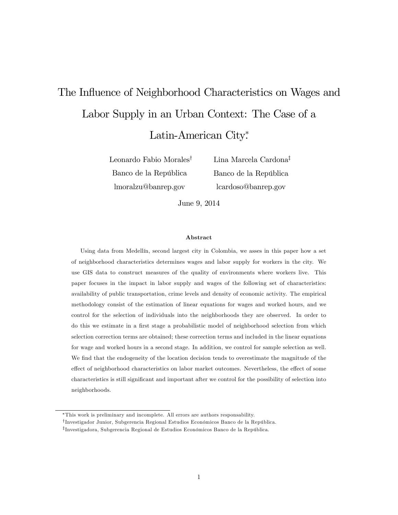# The Influence of Neighborhood Characteristics on Wages and Labor Supply in an Urban Context: The Case of a Latin-American City .

Leonardo Fabio Morales<sup>†</sup> Banco de la República lmoralzu@banrep.gov

Lina Marcela Cardona<sup>‡</sup> Banco de la República lcardoso@banrep.gov

June 9, 2014

#### Abstract

Using data from Medellín, second largest city in Colombia, we asses in this paper how a set of neighborhood characteristics determines wages and labor supply for workers in the city. We use GIS data to construct measures of the quality of environments where workers live. This paper focuses in the impact in labor supply and wages of the following set of characteristics: availability of public transportation, crime levels and density of economic activity. The empirical methodology consist of the estimation of linear equations for wages and worked hours, and we control for the selection of individuals into the neighborhoods they are observed. In order to do this we estimate in a first stage a probabilistic model of neighborhood selection from which selection correction terms are obtained; these correction terms and included in the linear equations for wage and worked hours in a second stage. In addition, we control for sample selection as well. We find that the endogeneity of the location decision tends to overestimate the magnitude of the effect of neighborhood characteristics on labor market outcomes. Nevertheless, the effect of some characteristics is still signiÖcant and important after we control for the possibility of selection into neighborhoods.

This work is preliminary and incomplete. All errors are authors responsability.

<sup>&</sup>lt;sup>†</sup>Investigador Junior, Subgerencia Regional Estudios Económicos Banco de la República.

<sup>&</sup>lt;sup>‡</sup>Investigadora, Subgerencia Regional de Estudios Económicos Banco de la República.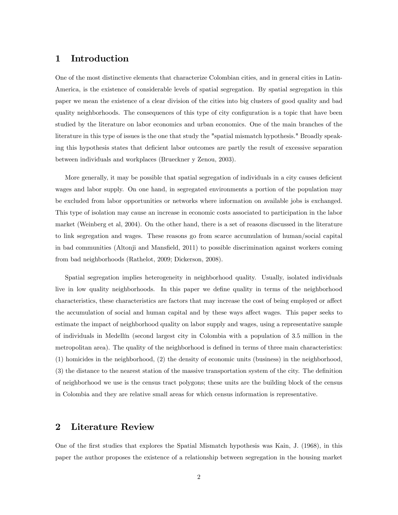## 1 Introduction

One of the most distinctive elements that characterize Colombian cities, and in general cities in Latin-America, is the existence of considerable levels of spatial segregation. By spatial segregation in this paper we mean the existence of a clear division of the cities into big clusters of good quality and bad quality neighborhoods. The consequences of this type of city configuration is a topic that have been studied by the literature on labor economics and urban economics. One of the main branches of the literature in this type of issues is the one that study the "spatial mismatch hypothesis." Broadly speaking this hypothesis states that deficient labor outcomes are partly the result of excessive separation between individuals and workplaces (Brueckner y Zenou, 2003).

More generally, it may be possible that spatial segregation of individuals in a city causes deficient wages and labor supply. On one hand, in segregated environments a portion of the population may be excluded from labor opportunities or networks where information on available jobs is exchanged. This type of isolation may cause an increase in economic costs associated to participation in the labor market (Weinberg et al, 2004). On the other hand, there is a set of reasons discussed in the literature to link segregation and wages. These reasons go from scarce accumulation of human/social capital in bad communities (Altonji and Mansfield, 2011) to possible discrimination against workers coming from bad neighborhoods (Rathelot, 2009; Dickerson, 2008).

Spatial segregation implies heterogeneity in neighborhood quality. Usually, isolated individuals live in low quality neighborhoods. In this paper we define quality in terms of the neighborhood characteristics, these characteristics are factors that may increase the cost of being employed or affect the accumulation of social and human capital and by these ways affect wages. This paper seeks to estimate the impact of neighborhood quality on labor supply and wages, using a representative sample of individuals in Medellín (second largest city in Colombia with a population of 3.5 million in the metropolitan area). The quality of the neighborhood is defined in terms of three main characteristics: (1) homicides in the neighborhood, (2) the density of economic units (business) in the neighborhood,  $(3)$  the distance to the nearest station of the massive transportation system of the city. The definition of neighborhood we use is the census tract polygons; these units are the building block of the census in Colombia and they are relative small areas for which census information is representative.

## 2 Literature Review

One of the Örst studies that explores the Spatial Mismatch hypothesis was Kain, J. (1968), in this paper the author proposes the existence of a relationship between segregation in the housing market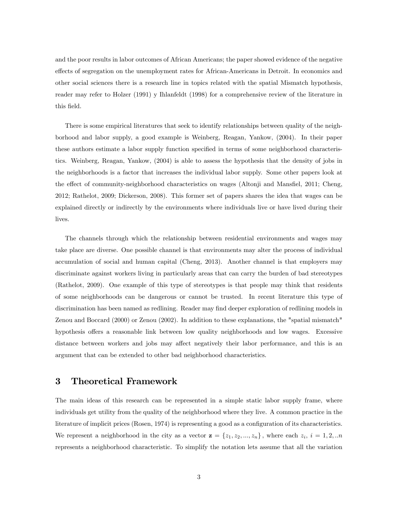and the poor results in labor outcomes of African Americans; the paper showed evidence of the negative effects of segregation on the unemployment rates for African-Americans in Detroit. In economics and other social sciences there is a research line in topics related with the spatial Mismatch hypothesis, reader may refer to Holzer (1991) y Ihlanfeldt (1998) for a comprehensive review of the literature in this field.

There is some empirical literatures that seek to identify relationships between quality of the neighborhood and labor supply, a good example is Weinberg, Reagan, Yankow, (2004). In their paper these authors estimate a labor supply function specified in terms of some neighborhood characteristics. Weinberg, Reagan, Yankow, (2004) is able to assess the hypothesis that the density of jobs in the neighborhoods is a factor that increases the individual labor supply. Some other papers look at the effect of community-neighborhood characteristics on wages (Altonji and Mansfiel, 2011; Cheng, 2012; Rathelot, 2009; Dickerson, 2008). This former set of papers shares the idea that wages can be explained directly or indirectly by the environments where individuals live or have lived during their lives.

The channels through which the relationship between residential environments and wages may take place are diverse. One possible channel is that environments may alter the process of individual accumulation of social and human capital (Cheng, 2013). Another channel is that employers may discriminate against workers living in particularly areas that can carry the burden of bad stereotypes (Rathelot, 2009). One example of this type of stereotypes is that people may think that residents of some neighborhoods can be dangerous or cannot be trusted. In recent literature this type of discrimination has been named as redlining. Reader may find deeper exploration of redlining models in Zenou and Boccard (2000) or Zenou (2002). In addition to these explanations, the "spatial mismatch" hypothesis offers a reasonable link between low quality neighborhoods and low wages. Excessive distance between workers and jobs may affect negatively their labor performance, and this is an argument that can be extended to other bad neighborhood characteristics.

### 3 Theoretical Framework

The main ideas of this research can be represented in a simple static labor supply frame, where individuals get utility from the quality of the neighborhood where they live. A common practice in the literature of implicit prices (Rosen, 1974) is representing a good as a configuration of its characteristics. We represent a neighborhood in the city as a vector  $z = \{z_1, z_2, ..., z_n\}$ , where each  $z_i$ ,  $i = 1, 2, ...n$ represents a neighborhood characteristic. To simplify the notation lets assume that all the variation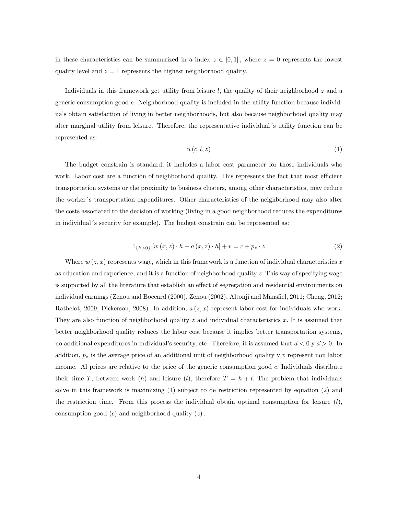in these characteristics can be summarized in a index  $z \in [0, 1]$ , where  $z = 0$  represents the lowest quality level and  $z = 1$  represents the highest neighborhood quality.

Individuals in this framework get utility from leisure l, the quality of their neighborhood  $z$  and a generic consumption good c. Neighborhood quality is included in the utility function because individuals obtain satisfaction of living in better neighborhoods, but also because neighborhood quality may alter marginal utility from leisure. Therefore, the representative individual's utility function can be represented as:

$$
u\left(c,l,z\right) \tag{1}
$$

The budget constrain is standard, it includes a labor cost parameter for those individuals who work. Labor cost are a function of neighborhood quality. This represents the fact that most efficient transportation systems or the proximity to business clusters, among other characteristics, may reduce the worker's transportation expenditures. Other characteristics of the neighborhood may also alter the costs associated to the decision of working (living in a good neighborhood reduces the expenditures in individual's security for example). The budget constrain can be represented as:

$$
1_{\{h>0\}} [w(x,z) \cdot h - a(x,z) \cdot h] + v = c + p_z \cdot z \tag{2}
$$

Where  $w(z, x)$  represents wage, which in this framework is a function of individual characteristics x as education and experience, and it is a function of neighborhood quality  $z$ . This way of specifying wage is supported by all the literature that establish an effect of segregation and residential environments on individual earnings (Zenou and Boccard (2000), Zenou (2002), Altonji and Mansfiel, 2011; Cheng, 2012; Rathelot, 2009; Dickerson, 2008). In addition,  $a(z, x)$  represent labor cost for individuals who work. They are also function of neighborhood quality  $z$  and individual characteristics  $x$ . It is assumed that better neighborhood quality reduces the labor cost because it implies better transportation systems, no additional expenditures in individual's security, etc. Therefore, it is assumed that  $a' < 0$  y  $a' > 0$ . In addition,  $p<sub>z</sub>$  is the average price of an additional unit of neighborhood quality y v represent non labor income. Al prices are relative to the price of the generic consumption good c. Individuals distribute their time T, between work (h) and leisure (l), therefore  $T = h + l$ . The problem that individuals solve in this framework is maximizing (1) subject to de restriction represented by equation (2) and the restriction time. From this process the individual obtain optimal consumption for leisure  $(l)$ , consumption good  $(c)$  and neighborhood quality  $(z)$ .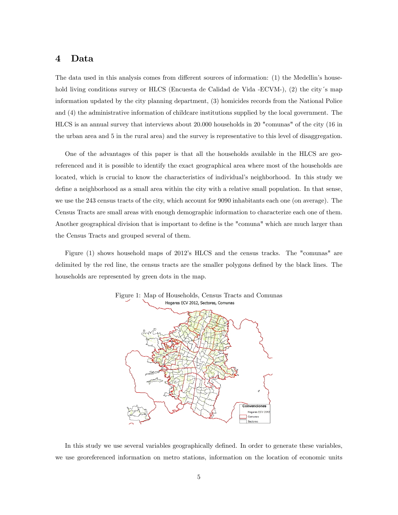## 4 Data

The data used in this analysis comes from different sources of information: (1) the Medellin's household living conditions survey or HLCS (Encuesta de Calidad de Vida -ECVM-), (2) the city's map information updated by the city planning department, (3) homicides records from the National Police and (4) the administrative information of childcare institutions supplied by the local government. The HLCS is an annual survey that interviews about 20.000 households in 20 "comunas" of the city (16 in the urban area and 5 in the rural area) and the survey is representative to this level of disaggregation.

One of the advantages of this paper is that all the households available in the HLCS are georeferenced and it is possible to identify the exact geographical area where most of the households are located, which is crucial to know the characteristics of individual's neighborhood. In this study we define a neighborhood as a small area within the city with a relative small population. In that sense, we use the 243 census tracts of the city, which account for 9090 inhabitants each one (on average). The Census Tracts are small areas with enough demographic information to characterize each one of them. Another geographical division that is important to define is the "comuna" which are much larger than the Census Tracts and grouped several of them.

Figure (1) shows household maps of 2012's HLCS and the census tracks. The "comunas" are delimited by the red line, the census tracts are the smaller polygons defined by the black lines. The households are represented by green dots in the map.





In this study we use several variables geographically defined. In order to generate these variables, we use georeferenced information on metro stations, information on the location of economic units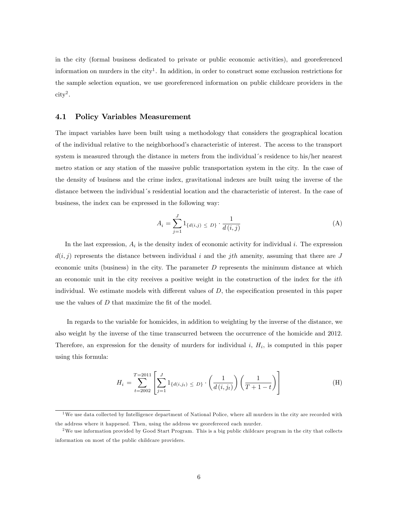in the city (formal business dedicated to private or public economic activities), and georeferenced information on murders in the city<sup>1</sup> . In addition, in order to construct some exclussion restrictions for the sample selection equation, we use georeferenced information on public childcare providers in the  $\mathrm{city}^2$ .

#### 4.1 Policy Variables Measurement

The impact variables have been built using a methodology that considers the geographical location of the individual relative to the neighborhoodís characteristic of interest. The access to the transport system is measured through the distance in meters from the individual's residence to his/her nearest metro station or any station of the massive public transportation system in the city. In the case of the density of business and the crime index, gravitational indexes are built using the inverse of the distance between the individual's residential location and the characteristic of interest. In the case of business, the index can be expressed in the following way:

$$
A_{i} = \sum_{j=1}^{J} 1_{\{d(i,j)\ \leq D\}} \cdot \frac{1}{d(i,j)} \tag{A}
$$

In the last expression,  $A_i$  is the density index of economic activity for individual *i*. The expression  $d(i, j)$  represents the distance between individual i and the jth amenity, assuming that there are J economic units (business) in the city. The parameter  $D$  represents the minimum distance at which an economic unit in the city receives a positive weight in the construction of the index for the *ith* individual. We estimate models with different values of  $D$ , the especification presented in this paper use the values of  $D$  that maximize the fit of the model.

In regards to the variable for homicides, in addition to weighting by the inverse of the distance, we also weight by the inverse of the time transcurred between the occurrence of the homicide and 2012. Therefore, an expression for the density of murders for individual  $i, H<sub>i</sub>$ , is computed in this paper using this formula:

$$
H_i = \sum_{t=2002}^{T=2011} \left[ \sum_{j=1}^{J} 1_{\{d(i,j_t) \leq D\}} \cdot \left( \frac{1}{d(i,j_t)} \right) \left( \frac{1}{T+1-t} \right) \right]
$$
(H)

 $1$ We use data collected by Intelligence department of National Police, where all murders in the city are recorded with the address where it happened. Then, using the address we georefereced each murder.

<sup>&</sup>lt;sup>2</sup>We use information provided by Good Start Program. This is a big public childcare program in the city that collects information on most of the public childcare providers.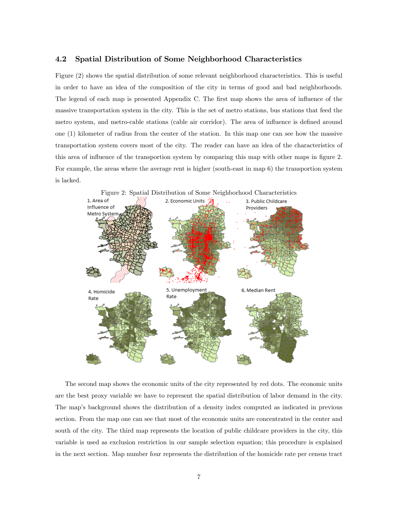#### 4.2 Spatial Distribution of Some Neighborhood Characteristics

Figure (2) shows the spatial distribution of some relevant neighborhood characteristics. This is useful in order to have an idea of the composition of the city in terms of good and bad neighborhoods. The legend of each map is presented Appendix C. The first map shows the area of influence of the massive transportation system in the city. This is the set of metro stations, bus stations that feed the metro system, and metro-cable stations (cable air corridor). The area of influence is defined around one (1) kilometer of radius from the center of the station. In this map one can see how the massive transportation system covers most of the city. The reader can have an idea of the characteristics of this area of influence of the transportion system by comparing this map with other maps in figure 2. For example, the areas where the average rent is higher (south-east in map 6) the transportion system is lacked.



The second map shows the economic units of the city represented by red dots. The economic units are the best proxy variable we have to represent the spatial distribution of labor demand in the city. The mapís background shows the distribution of a density index computed as indicated in previous section. From the map one can see that most of the economic units are concentrated in the center and south of the city. The third map represents the location of public childcare providers in the city, this variable is used as exclusion restriction in our sample selection equation; this procedure is explained in the next section. Map number four represents the distribution of the homicide rate per census tract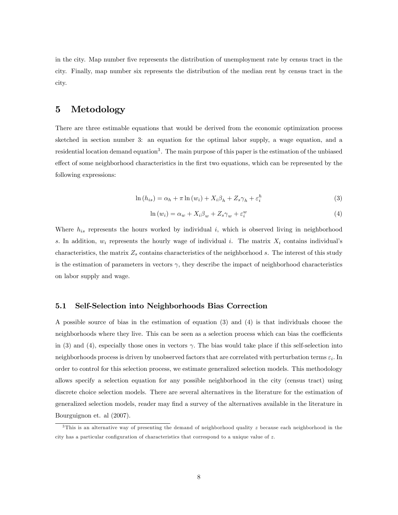in the city. Map number five represents the distribution of unemployment rate by census tract in the city. Finally, map number six represents the distribution of the median rent by census tract in the city.

## 5 Metodology

There are three estimable equations that would be derived from the economic optimization process sketched in section number 3: an equation for the optimal labor supply, a wage equation, and a residential location demand equation<sup>3</sup>. The main purpose of this paper is the estimation of the unbiased effect of some neighborhood characteristics in the first two equations, which can be represented by the following expressions:

$$
\ln(h_{is}) = \alpha_h + \pi \ln(w_i) + X_i \beta_h + Z_s \gamma_h + \varepsilon_i^h \tag{3}
$$

$$
\ln(w_i) = \alpha_w + X_i \beta_w + Z_s \gamma_w + \varepsilon_i^w \tag{4}
$$

Where  $h_{is}$  represents the hours worked by individual i, which is observed living in neighborhood s. In addition,  $w_i$  represents the hourly wage of individual i. The matrix  $X_i$  contains individual's characteristics, the matrix  $Z_s$  contains characteristics of the neighborhood s. The interest of this study is the estimation of parameters in vectors  $\gamma$ , they describe the impact of neighborhood characteristics on labor supply and wage.

#### 5.1 Self-Selection into Neighborhoods Bias Correction

A possible source of bias in the estimation of equation (3) and (4) is that individuals choose the neighborhoods where they live. This can be seen as a selection process which can bias the coefficients in (3) and (4), especially those ones in vectors  $\gamma$ . The bias would take place if this self-selection into neighborhoods process is driven by unobserved factors that are correlated with perturbation terms  $\varepsilon_i$ . In order to control for this selection process, we estimate generalized selection models. This methodology allows specify a selection equation for any possible neighborhood in the city (census tract) using discrete choice selection models. There are several alternatives in the literature for the estimation of generalized selection models, reader may find a survey of the alternatives available in the literature in Bourguignon et. al (2007).

 $3$ This is an alternative way of presenting the demand of neighborhood quality z because each neighborhood in the city has a particular configuration of characteristics that correspond to a unique value of  $z$ .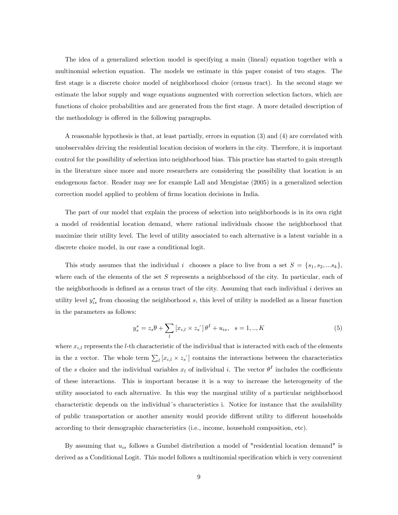The idea of a generalized selection model is specifying a main (lineal) equation together with a multinomial selection equation. The models we estimate in this paper consist of two stages. The first stage is a discrete choice model of neighborhood choice (census tract). In the second stage we estimate the labor supply and wage equations augmented with correction selection factors, which are functions of choice probabilities and are generated from the first stage. A more detailed description of the methodology is offered in the following paragraphs.

A reasonable hypothesis is that, at least partially, errors in equation (3) and (4) are correlated with unobservables driving the residential location decision of workers in the city. Therefore, it is important control for the possibility of selection into neighborhood bias. This practice has started to gain strength in the literature since more and more researchers are considering the possibility that location is an endogenous factor. Reader may see for example Lall and Mengistae (2005) in a generalized selection correction model applied to problem of firms location decisions in India.

The part of our model that explain the process of selection into neighborhoods is in its own right a model of residential location demand, where rational individuals choose the neighborhood that maximize their utility level. The level of utility associated to each alternative is a latent variable in a discrete choice model, in our case a conditional logit.

This study assumes that the individual i chooses a place to live from a set  $S = \{s_1, s_2, ... s_k\}$ , where each of the elements of the set  $S$  represents a neighborhood of the city. In particular, each of the neighborhoods is defined as a census tract of the city. Assuming that each individual  $i$  derives an utility level  $y_{is}^*$  from choosing the neighborhood s, this level of utility is modelled as a linear function in the parameters as follows:

$$
y_s^* = z_s \theta + \sum_l [x_{i,l} \times z_s'] \theta^I + u_{is}, \quad s = 1,..,K
$$
 (5)

where  $x_{i,l}$  represents the *l*-th characteristic of the individual that is interacted with each of the elements in the z vector. The whole term  $\sum_l [x_{i,l} \times z_s]$  contains the interactions between the characteristics of the s choice and the individual variables  $x_l$  of individual i. The vector  $\theta^I$  includes the coefficients of these interactions. This is important because it is a way to increase the heterogeneity of the utility associated to each alternative. In this way the marginal utility of a particular neighborhood characteristic depends on the individual's characteristics i. Notice for instance that the availability of public transportation or another amenity would provide different utility to different households according to their demographic characteristics (i.e., income, household composition, etc).

By assuming that  $u_{is}$  follows a Gumbel distribution a model of "residential location demand" is derived as a Conditional Logit. This model follows a multinomial specification which is very convenient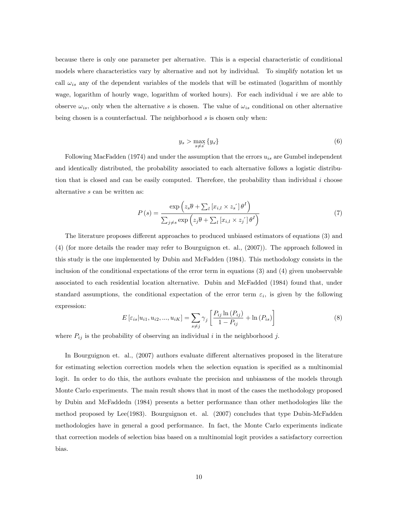because there is only one parameter per alternative. This is a especial characteristic of conditional models where characteristics vary by alternative and not by individual. To simplify notation let us call  $\omega_{is}$  any of the dependent variables of the models that will be estimated (logarithm of monthly wage, logarithm of hourly wage, logarithm of worked hours). For each individual  $i$  we are able to observe  $\omega_{is}$ , only when the alternative s is chosen. The value of  $\omega_{is}$  conditional on other alternative being chosen is a counterfactual. The neighborhood  $s$  is chosen only when:

$$
y_s > \max_{s \neq s} \{ y_s \} \tag{6}
$$

Following MacFadden (1974) and under the assumption that the errors  $u_{is}$  are Gumbel independent and identically distributed, the probability associated to each alternative follows a logistic distribution that is closed and can be easily computed. Therefore, the probability than individual  $i$  choose alternative s can be written as:

$$
P(s) = \frac{\exp(z_s \theta + \sum_l [x_{i,l} \times z_s'] \theta^I)}{\sum_{j \neq s} \exp(z_j \theta + \sum_l [x_{i,l} \times z_j'] \theta^I)}
$$
(7)

The literature proposes different approaches to produced unbiased estimators of equations (3) and (4) (for more details the reader may refer to Bourguignon et. al., (2007)). The approach followed in this study is the one implemented by Dubin and McFadden (1984). This methodology consists in the inclusion of the conditional expectations of the error term in equations (3) and (4) given unobservable associated to each residential location alternative. Dubin and McFadded (1984) found that, under standard assumptions, the conditional expectation of the error term  $\varepsilon_i$ , is given by the following expression:

$$
E\left[\varepsilon_{is}|u_{i1}, u_{i2}, ..., u_{iK}\right] = \sum_{s \neq j} \gamma_j \left[\frac{P_{ij}\ln\left(P_{ij}\right)}{1 - P_{ij}} + \ln\left(P_{is}\right)\right]
$$
(8)

where  $P_{ij}$  is the probability of observing an individual i in the neighborhood j.

In Bourguignon et. al., (2007) authors evaluate different alternatives proposed in the literature for estimating selection correction models when the selection equation is specified as a multinomial logit. In order to do this, the authors evaluate the precision and unbiasness of the models through Monte Carlo experiments. The main result shows that in most of the cases the methodology proposed by Dubin and McFaddedn (1984) presents a better performance than other methodologies like the method proposed by Lee(1983). Bourguignon et. al. (2007) concludes that type Dubin-McFadden methodologies have in general a good performance. In fact, the Monte Carlo experiments indicate that correction models of selection bias based on a multinomial logit provides a satisfactory correction bias.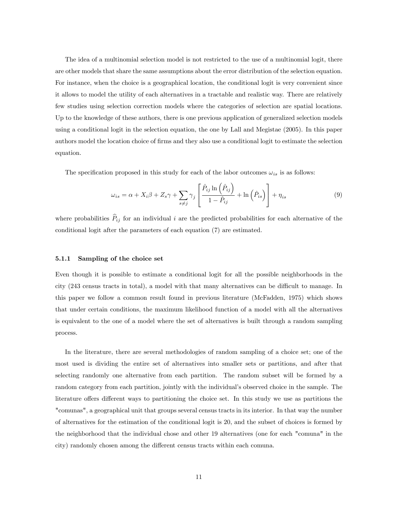The idea of a multinomial selection model is not restricted to the use of a multinomial logit, there are other models that share the same assumptions about the error distribution of the selection equation. For instance, when the choice is a geographical location, the conditional logit is very convenient since it allows to model the utility of each alternatives in a tractable and realistic way. There are relatively few studies using selection correction models where the categories of selection are spatial locations. Up to the knowledge of these authors, there is one previous application of generalized selection models using a conditional logit in the selection equation, the one by Lall and Megistae (2005). In this paper authors model the location choice of firms and they also use a conditional logit to estimate the selection equation.

The specification proposed in this study for each of the labor outcomes  $\omega_{is}$  is as follows:

$$
\omega_{is} = \alpha + X_i \beta + Z_s \gamma + \sum_{s \neq j} \gamma_j \left[ \frac{\hat{P}_{ij} \ln \left( \hat{P}_{ij} \right)}{1 - \hat{P}_{ij}} + \ln \left( \hat{P}_{is} \right) \right] + \eta_{is} \tag{9}
$$

where probabilities  $\hat{P}_{ij}$  for an individual i are the predicted probabilities for each alternative of the conditional logit after the parameters of each equation (7) are estimated.

#### 5.1.1 Sampling of the choice set

Even though it is possible to estimate a conditional logit for all the possible neighborhoods in the city (243 census tracts in total), a model with that many alternatives can be difficult to manage. In this paper we follow a common result found in previous literature (McFadden, 1975) which shows that under certain conditions, the maximum likelihood function of a model with all the alternatives is equivalent to the one of a model where the set of alternatives is built through a random sampling process.

In the literature, there are several methodologies of random sampling of a choice set; one of the most used is dividing the entire set of alternatives into smaller sets or partitions, and after that selecting randomly one alternative from each partition. The random subset will be formed by a random category from each partition, jointly with the individual's observed choice in the sample. The literature offers different ways to partitioning the choice set. In this study we use as partitions the "comunas", a geographical unit that groups several census tracts in its interior. In that way the number of alternatives for the estimation of the conditional logit is 20, and the subset of choices is formed by the neighborhood that the individual chose and other 19 alternatives (one for each "comuna" in the city) randomly chosen among the different census tracts within each comuna.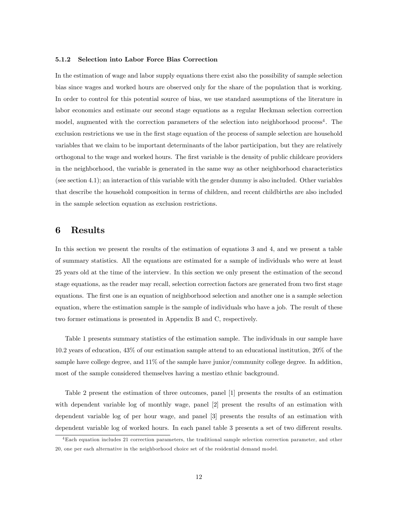#### 5.1.2 Selection into Labor Force Bias Correction

In the estimation of wage and labor supply equations there exist also the possibility of sample selection bias since wages and worked hours are observed only for the share of the population that is working. In order to control for this potential source of bias, we use standard assumptions of the literature in labor economics and estimate our second stage equations as a regular Heckman selection correction model, augmented with the correction parameters of the selection into neighborhood process<sup>4</sup>. The exclusion restrictions we use in the first stage equation of the process of sample selection are household variables that we claim to be important determinants of the labor participation, but they are relatively orthogonal to the wage and worked hours. The first variable is the density of public childcare providers in the neighborhood, the variable is generated in the same way as other neighborhood characteristics (see section 4.1); an interaction of this variable with the gender dummy is also included. Other variables that describe the household composition in terms of children, and recent childbirths are also included in the sample selection equation as exclusion restrictions.

## 6 Results

In this section we present the results of the estimation of equations 3 and 4, and we present a table of summary statistics. All the equations are estimated for a sample of individuals who were at least 25 years old at the time of the interview. In this section we only present the estimation of the second stage equations, as the reader may recall, selection correction factors are generated from two first stage equations. The first one is an equation of neighborhood selection and another one is a sample selection equation, where the estimation sample is the sample of individuals who have a job. The result of these two former estimations is presented in Appendix B and C, respectively.

Table 1 presents summary statistics of the estimation sample. The individuals in our sample have 10.2 years of education, 43% of our estimation sample attend to an educational institution, 20% of the sample have college degree, and 11% of the sample have junior/community college degree. In addition, most of the sample considered themselves having a mestizo ethnic background.

Table 2 present the estimation of three outcomes, panel [1] presents the results of an estimation with dependent variable log of monthly wage, panel [2] present the results of an estimation with dependent variable log of per hour wage, and panel [3] presents the results of an estimation with dependent variable log of worked hours. In each panel table 3 presents a set of two different results.

<sup>4</sup>Each equation includes 21 correction parameters, the traditional sample selection correction parameter, and other 20, one per each alternative in the neighborhood choice set of the residential demand model.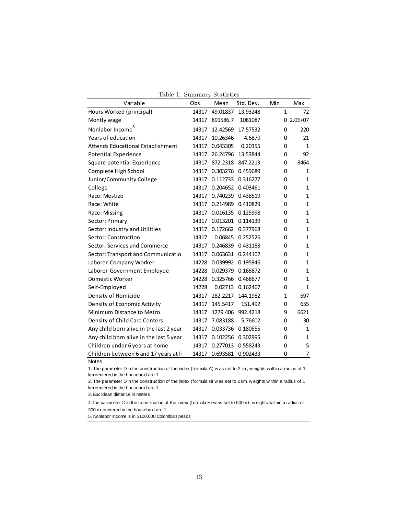|  | Table 1: Summary Statistics |  |
|--|-----------------------------|--|
|--|-----------------------------|--|

| Variable                                 | Obs   | Mean     | Std. Dev. | Min          | Max            |
|------------------------------------------|-------|----------|-----------|--------------|----------------|
| Hours Worked (principal)                 | 14317 | 49.01837 | 13.93248  | $\mathbf{1}$ | 72             |
| Montly wage                              | 14317 | 891586.7 | 1081087   |              | $0, 2.0E + 07$ |
| Nonlabor Income <sup>5</sup>             | 14317 | 12.42569 | 17.57532  | 0            | 220            |
| Years of education                       | 14317 | 10.26346 | 4.6879    | 0            | 21             |
| <b>Attends Educational Establishment</b> | 14317 | 0.043305 | 0.20355   | 0            | $\mathbf{1}$   |
| <b>Potential Experience</b>              | 14317 | 26.24796 | 13.53844  | 0            | 92             |
| Square potential Experience              | 14317 | 872.2318 | 847.2213  | 0            | 8464           |
| Complete High School                     | 14317 | 0.303276 | 0.459689  | 0            | $\mathbf{1}$   |
| Junior/Community College                 | 14317 | 0.112733 | 0.316277  | 0            | 1              |
| College                                  | 14317 | 0.204652 | 0.403461  | 0            | 1              |
| Race: Mestizo                            | 14317 | 0.740239 | 0.438519  | 0            | $\mathbf{1}$   |
| Race: White                              | 14317 | 0.214989 | 0.410829  | 0            | $\mathbf{1}$   |
| Race: Missing                            | 14317 | 0.016135 | 0.125998  | 0            | $\mathbf{1}$   |
| Sector: Primary                          | 14317 | 0.013201 | 0.114139  | 0            | 1              |
| Sector: Industry and Utilities           | 14317 | 0.172662 | 0.377968  | 0            | $\mathbf{1}$   |
| Sector: Construction                     | 14317 | 0.06845  | 0.252526  | 0            | $\mathbf{1}$   |
| Sector: Services and Commerce            | 14317 | 0.246839 | 0.431188  | 0            | $\mathbf{1}$   |
| Sector: Transport and Communicatio       | 14317 | 0.063631 | 0.244102  | 0            | $\mathbf{1}$   |
| Laborer-Company Worker                   | 14228 | 0.039992 | 0.195946  | 0            | $\mathbf{1}$   |
| Laborer-Government Employee              | 14228 | 0.029379 | 0.168872  | 0            | 1              |
| Domestic Worker                          | 14228 | 0.325766 | 0.468677  | 0            | 1              |
| Self-Employed                            | 14228 | 0.02713  | 0.162467  | 0            | $\mathbf{1}$   |
| Density of Homicide                      | 14317 | 282.2217 | 144.1982  | $\mathbf{1}$ | 597            |
| Density of Economic Activity             | 14317 | 145.5417 | 151.492   | 0            | 655            |
| Minimum Distance to Metro                | 14317 | 1279.406 | 992.4218  | 9            | 6621           |
| Density of Child Care Centers            | 14317 | 7.083188 | 5.76602   | 0            | 30             |
| Any child born alive in the last 2 year  | 14317 | 0.033736 | 0.180555  | 0            | 1              |
| Any child born alive in the last 5 year  | 14317 | 0.102256 | 0.302995  | 0            | 1              |
| Children under 6 years at home           | 14317 | 0.277013 | 0.558243  | 0            | 5              |
| Children between 6 and 17 years at h     | 14317 | 0.693581 | 0.902433  | 0            | 7              |

Notes

1. The parameter D in the construction of the index (formula A) w as set to 2 km, w eights w ithin a radius of 1 km centered in the household are 1.

2. The parameter D in the construction of the index (formula H) w as set to 2 km, w eights w ithin a radius of 1 km centered in the household are 1.

3. Euclidean distance in meters

4.The parameter D in the construction of the index (formula H) was set to 500 mt, w eights within a radius of 300 mt centered in the household are 1.

5. Nonlabor Income is in \$100.000 Colombian pesos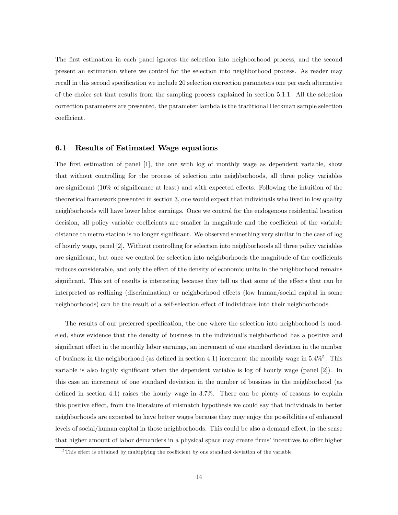The first estimation in each panel ignores the selection into neighborhood process, and the second present an estimation where we control for the selection into neighborhood process. As reader may recall in this second specification we include 20 selection correction parameters one per each alternative of the choice set that results from the sampling process explained in section 5.1.1. All the selection correction parameters are presented, the parameter lambda is the traditional Heckman sample selection coefficient.

#### 6.1 Results of Estimated Wage equations

The first estimation of panel [1], the one with log of monthly wage as dependent variable, show that without controlling for the process of selection into neighborhoods, all three policy variables are significant (10% of significance at least) and with expected effects. Following the intuition of the theoretical framework presented in section 3, one would expect that individuals who lived in low quality neighborhoods will have lower labor earnings. Once we control for the endogenous residential location decision, all policy variable coefficients are smaller in magnitude and the coefficient of the variable distance to metro station is no longer significant. We observed something very similar in the case of log of hourly wage, panel [2]. Without controlling for selection into neighborhoods all three policy variables are significant, but once we control for selection into neighborhoods the magnitude of the coefficients reduces considerable, and only the effect of the density of economic units in the neighborhood remains significant. This set of results is interesting because they tell us that some of the effects that can be interpreted as redlining (discrimination) or neighborhood effects (low human/social capital in some neighborhoods) can be the result of a self-selection effect of individuals into their neighborhoods.

The results of our preferred specification, the one where the selection into neighborhood is modeled, show evidence that the density of business in the individual's neighborhood has a positive and significant effect in the monthly labor earnings, an increment of one standard deviation in the number of business in the neighborhood (as defined in section 4.1) increment the monthly wage in  $5.4\%$ <sup>5</sup>. This variable is also highly significant when the dependent variable is log of hourly wage (panel  $[2]$ ). In this case an increment of one standard deviation in the number of bussines in the neighborhood (as defined in section 4.1) raises the hourly wage in  $3.7\%$ . There can be plenty of reasons to explain this positive effect, from the literature of mismatch hypothesis we could say that individuals in better neighborhoods are expected to have better wages because they may enjoy the possibilities of enhanced levels of social/human capital in those neighborhoods. This could be also a demand effect, in the sense that higher amount of labor demanders in a physical space may create firms' incentives to offer higher

 $5$ This effect is obtained by multiplying the coefficient by one standard deviation of the variable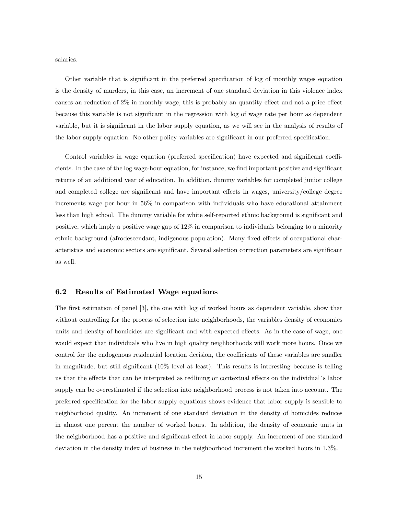salaries.

Other variable that is significant in the preferred specification of log of monthly wages equation is the density of murders, in this case, an increment of one standard deviation in this violence index causes an reduction of  $2\%$  in monthly wage, this is probably an quantity effect and not a price effect because this variable is not significant in the regression with log of wage rate per hour as dependent variable, but it is significant in the labor supply equation, as we will see in the analysis of results of the labor supply equation. No other policy variables are significant in our preferred specification.

Control variables in wage equation (preferred specification) have expected and significant coefficients. In the case of the log wage-hour equation, for instance, we find important positive and significant returns of an additional year of education. In addition, dummy variables for completed junior college and completed college are significant and have important effects in wages, university/college degree increments wage per hour in 56% in comparison with individuals who have educational attainment less than high school. The dummy variable for white self-reported ethnic background is significant and positive, which imply a positive wage gap of 12% in comparison to individuals belonging to a minority ethnic background (afrodescendant, indigenous population). Many fixed effects of occupational characteristics and economic sectors are significant. Several selection correction parameters are significant as well.

#### 6.2 Results of Estimated Wage equations

The first estimation of panel [3], the one with log of worked hours as dependent variable, show that without controlling for the process of selection into neighborhoods, the variables density of economics units and density of homicides are significant and with expected effects. As in the case of wage, one would expect that individuals who live in high quality neighborhoods will work more hours. Once we control for the endogenous residential location decision, the coefficients of these variables are smaller in magnitude, but still significant  $(10\%$  level at least). This results is interesting because is telling us that the effects that can be interpreted as redlining or contextual effects on the individual's labor supply can be overestimated if the selection into neighborhood process is not taken into account. The preferred specification for the labor supply equations shows evidence that labor supply is sensible to neighborhood quality. An increment of one standard deviation in the density of homicides reduces in almost one percent the number of worked hours. In addition, the density of economic units in the neighborhood has a positive and significant effect in labor supply. An increment of one standard deviation in the density index of business in the neighborhood increment the worked hours in 1.3%.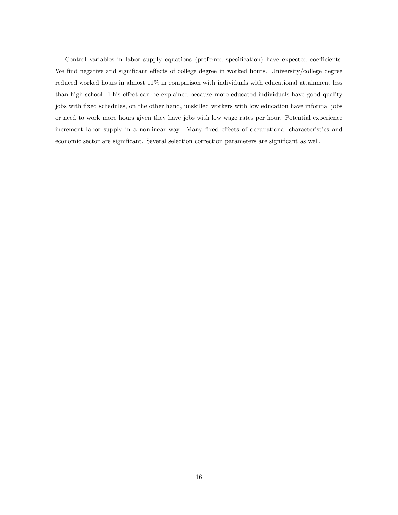Control variables in labor supply equations (preferred specification) have expected coefficients. We find negative and significant effects of college degree in worked hours. University/college degree reduced worked hours in almost 11% in comparison with individuals with educational attainment less than high school. This effect can be explained because more educated individuals have good quality jobs with Öxed schedules, on the other hand, unskilled workers with low education have informal jobs or need to work more hours given they have jobs with low wage rates per hour. Potential experience increment labor supply in a nonlinear way. Many fixed effects of occupational characteristics and economic sector are significant. Several selection correction parameters are significant as well.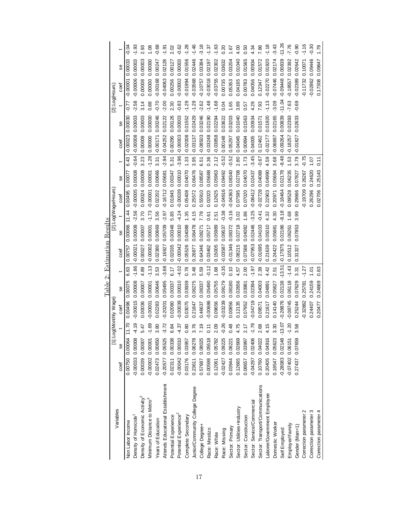|                                           |                       |        |         |                 |         |          | Table 2: Estimation Results |         |         |                     |         |         |            |         |                |            |         |          |
|-------------------------------------------|-----------------------|--------|---------|-----------------|---------|----------|-----------------------------|---------|---------|---------------------|---------|---------|------------|---------|----------------|------------|---------|----------|
| Variables                                 |                       | [1]:Lo |         | og(Monthly Wage |         |          |                             |         |         | [2]:Log(Wage/Hours) |         |         |            |         | [2]:Log(Hours) |            |         |          |
|                                           | 8<br>coef             |        |         | coef            | 9S      |          | coef                        | 9S      |         | coef                | 98      |         | coef       | 9S      |                | coef       | 99      |          |
| Non Labor Income                          | 0.00750 0.00064       |        | 11.70   | 0.00496         | 0.00075 | 6.63     | 0.00757                     | 0.00066 | 11.44   | 0.00495             | 0.00077 | 6.43    | $-0.00023$ | 0.00030 | -0.77          | $-0.00001$ | 0.00033 | $-0.04$  |
| Density of Homicide <sup>1</sup>          | 0.00033 0.00008       |        | $-4.19$ | $-0.00015$      | 0.00008 | $-1.86$  | $-0.00021$                  | 0.00008 | $-2.56$ | $-0.00005$          | 0.00008 | $-0.64$ | $-0.00008$ | 0.00003 | $-2.58$        | $-0.00006$ | 0.00003 | $-1.93$  |
| Density of Economic Activity <sup>2</sup> | 0.00007<br>0.00039    |        | 5.47    | 0.00036         | 0.00007 | 4.89     | 0.00027                     | 0.00007 | 3.70    | 0.00024             | 0.00008 | 3.23    | 0.00009    | 0.00003 | 3.14           | 0.00008    | 0.00003 | 2.93     |
| Minimum Distance to Metro <sup>3</sup>    | 0.00001<br>$-0.00002$ |        | $-1.69$ | 0.00001         | 0.00001 | $-1.13$  | $-0.00002$                  | 0.00001 | $-1.73$ | $-0.00001$          | 0.00001 | $-1.28$ | 0.00000    | 0.0000  | 0.88           | 0.00000    | 0.00000 | 1.08     |
| Years of Education                        | 0.00650<br>0.02473    |        | 3.80    | 0.02283         | 0.00646 | 3.53     | 0.02380                     | 0.00669 | 3.56    | 0.02202             | 0.00666 | 3.31    | $-0.00171$ | 0.00246 | $-0.70$        | $-0.00168$ | 0.00247 | $-0.68$  |
| Attends Educational Establishment         | $-0.20577$ 0.05525    |        | $-3.72$ | $-0.20201$      | 0.05495 | $-3.68$  | $-0.16927$                  | 0.05709 | $-2.97$ | $-0.16712$          | 0.05681 | $-2.94$ | $-0.04252$ | 0.02122 | $-2.00$        | $-0.04063$ | 0.02128 | $-1.91$  |
| Potential Experience                      | 0.02311 0.00338       |        | 6.84    | 0.02080         | 0.00337 | 6.17     | 0.02035                     | 0.00348 | 5.85    | 0.01845             | 0.00347 | 5.31    | 0.00290    | 0.00126 | 2.30           | 0.00256    | 0.00127 | 2.02     |
| Potential Experience <sup>2</sup>         | 0.00010<br>$-0.00042$ |        | $-4.37$ | -0.00039        | 0.00010 | $-4.02$  | $-0.00042$                  | 0.00010 | $-4.24$ | $-0.00039$          | 0.00010 | $-3.96$ | $-0.00003$ | 0.00003 | $-0.83$        | 0.00002    | 0.00003 | $-0.62$  |
| Complete Secondary                        | 0.03957<br>0.03176    |        | 0.80    | 0.03075         | 0.03939 | 0.78     | 0.05526                     | 0.04088 | 1.35    | 0.05408             | 0.04070 | 1.33    | $-0.02008$ | 0.01552 | $-1.29$        | $-0.01994$ | 0.01556 | $-1.28$  |
| Junior/Community College Degree           | 0.06278<br>0.23611    |        | 3.76    | 0.21847         | 0.06275 | 3.48     | 0.26877                     | 0.06478 | 4.15    | 0.25572             | 0.06476 | 3.95    | $-0.03137$ | 0.02429 | $-1.29$        | $-0.03568$ | 0.02446 | $-1.46$  |
| College Degree+                           | 0.08025<br>0.57687    |        | 7.19    | 0.46637         | 0.08337 | 5.59     | 0.64346                     | 0.08271 | 7.78    | 0.55910             | 0.08587 | 6.51    | $-0.08503$ | 0.03246 | $-2.62$        | $-0.10757$ | 0.03384 | $-3.18$  |
| Race: Mestizo                             | 0.05518<br>0.00598    |        | 0.11    | -0.00686        | 0.05490 | $-0.12$  | 0.03462                     | 0.05717 | 0.61    | 0.02023             | 0.05688 | 0.36    | $-0.03248$ | 0.02190 | $-1.48$        | $-0.03018$ | 0.02197 | $-1.37$  |
| Race: White                               | 0.05782<br>0.12061    |        | 2.09    | 0.09656         | 0.05755 | 1.68     | 0.15005                     | 0.05989 | 2.51    | 0.12625             | 0.05963 | 2.12    | $-0.03858$ | 0.02294 | $-1.68$        | $-0.03755$ | 0.02302 | $-1.63$  |
| Race: Missing                             | 0.09225<br>$-0.02427$ |        | $-0.26$ | $-0.03239$      | 0.09179 | $-0.35$  | $-0.03587$                  | 0.09537 | $-0.38$ | $-0.04916$          | 0.09492 | $-0.52$ | 0.00148    | 0.03622 | 0.04           | 0.00735    | 0.03632 | 0.20     |
| Sector: Primary                           | 0.08221<br>0.03944    |        | 0.48    | 0.00856         | 0.08180 | 0.10     | $-0.01346$                  | 0.08372 | $-0.16$ | $-0.04363$          | 0.08340 | $-0.52$ | 0.05297    | 0.03203 | 1.65           | 0.05353    | 0.03204 | 1.67     |
| Sector: Utilities+Industry                | 0.02669<br>0.12665    |        | 4.75    | 0.12135         | 0.02656 | 4.57     | 0.08215                     | 0.02718 | 3.02    | 0.07595             | 0.02708 | 2.80    | 0.04045    | 0.01040 | 3.89           | 0.04165    | 0.01040 | 4.00     |
| Sector: Construction                      | 0.03997<br>0.08657    |        | 2.17    | 0.07952         | 0.03981 | 2.00     | 0.07588                     | 0.04082 | 1.86    | 0.07020             | 0.04070 | 1.73    | 0.00894    | 0.01563 | 0.57           | 0.00783    | 0.01565 | 0.50     |
| Sector: Service/Commercial                | 0.02406<br>$-0.04297$ |        | $-1.79$ | $-0.04719$      | 0.02394 | $-1.97$  | $-0.07953$                  | 0.02446 | $-3.25$ | $-0.08412$          | 0.02437 | $-3.45$ | 0.04005    | 0.00934 | 4.29           | 0.04056    | 0.00934 | 4.34     |
| Sector: Transport/Communications          | 0.04022<br>0.10760    |        | 2.68    | 0.09571         | 0.04003 | 2.39     | $-0.01695$                  | 0.04103 | $-0.41$ | $-0.02728$          | 0.04088 | $-0.67$ | 0.12462    | 0.01571 | 7.93           | 0.12347    | 0.01572 | 7.86     |
| Laborer/Government Employee               | 0.04916<br>0.20405    |        | 4.15    | 0.21617         | 0.04891 | 4.42     | 0.21639                     | 0.05010 | 4.32    | 0.22903             | 0.04990 | 4.59    | $-0.02177$ | 0.01920 | $-1.13$        | $-0.02270$ | 0.01920 | $-1.18$  |
| Domestic Worker                           | 0.05623<br>0.18547    |        | 3.30    | 0.14140         | 0.05627 | 2.51     | 0.24422                     | 0.05681 | 4.30    | 0.20971             | 0.05694 | 3.68    | $-0.06697$ | 0.02165 | $-3.09$        | $-0.07446$ | 0.02174 | $-3.43$  |
| Self Employed                             | 0.02148<br>-0.28083   |        | 13.07   | $-0.28876$      | 0.02138 | $-13.51$ | $-0.17875$                  | 0.02186 | $-8.18$ | $-0.18464$          | 0.02178 | $-8.48$ | $-0.09264$ | 0.00839 | $-11.04$       | $-0.09448$ | 0.00839 | $-11.26$ |
| Employer/Family                           | 0.06151<br>0.07402    |        | $-1.20$ | $-0.08745$      | 0.06118 | $-1.43$  | 0.10512                     | 0.06261 | 1.68    | 0.09528             | 0.06235 | 1.53    | $-0.18257$ | 0.02393 | $-7.63$        | $-0.18557$ | 0.02392 | $-7.76$  |
| Gender (Man=1)                            | 0.07659<br>0.27437    |        | 3.58    | 0.25244         | 0.07629 | 3.31     | 0.31327                     | 0.07853 | 3.99    | 0.29666             | 0.07827 | 3.79    | $-0.01827$ | 0.02633 | $-0.69$        | $-0.02389$ | 0.02642 | $-0.90$  |
| Correction parameter 2                    |                       |        |         | 0.32862         | 0.25781 | $-1.27$  |                             |         |         | $-0.19709$          | 0.26267 | $-0.75$ |            |         |                | 0.11732    | 0.10071 | $-1.16$  |
| Correction parameter 3                    |                       |        |         | 0.24407         | 0.24159 | $-1.01$  |                             |         |         | 0.26296             | 0.24620 | $-101$  |            |         |                | 0.02862    | 0.09446 | $-0.30$  |
| Correction parameter 4                    |                       |        |         | 0.20477         | 0.24669 | 0.83     |                             |         |         | 0.02706             | 0.25143 | 0.11    |            |         |                | 0.17308    | 0.09647 | 1.79     |
|                                           |                       |        |         |                 |         |          |                             |         |         |                     |         |         |            |         |                |            |         |          |

Table 2: Estimation Results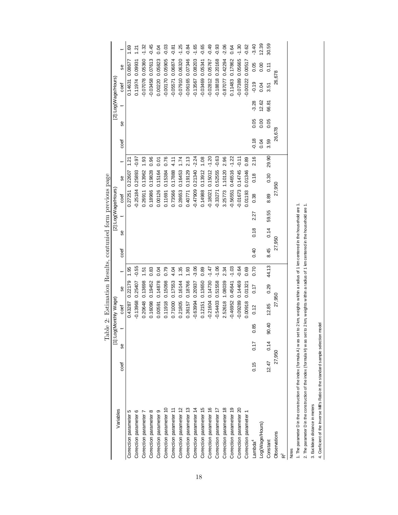| Variables               |        |              |       | [1]:Log(Monthly Wage) |                      |         |        |      |       | [2]:Log(Wage/Hours)        |         |               |         |      | [2]:Log(Wage/Hours) |                      |      |         |
|-------------------------|--------|--------------|-------|-----------------------|----------------------|---------|--------|------|-------|----------------------------|---------|---------------|---------|------|---------------------|----------------------|------|---------|
|                         | coef   | 99           |       | coef                  | 9S                   |         | coef   | 99   |       | coef                       | 9S      |               | coef    | 9S   |                     | coef                 | 9S   |         |
| Correction parameter 5  |        |              |       | 0.43287               | 0.22179              | 1.95    |        |      |       | 0.27251 0.22607            |         | $\frac{5}{2}$ |         |      |                     | 0.14631 0.08677      |      | 1.69    |
| Correction parameter 6  |        |              |       |                       | -0.13968 0.25407     | $-0.55$ |        |      |       | $-0.25184$ 0.25893 $-0.97$ |         |               |         |      |                     | 0.11974 0.09931      |      | 1.21    |
| Correction parameter 7  |        |              |       | 0.20648               | 0.13698              | 1.51    |        |      |       | 0.26911 0.13962            |         | 1.93          |         |      |                     | -0.07078 0.05360     |      | $-1.32$ |
| Correction parameter 8  |        |              |       | 0.16098               | 0.19452              | 0.83    |        |      |       | 0.18986                    | 0.19828 | 0.96          |         |      |                     | -0.03458 0.07613     |      | $-0.45$ |
| Correction parameter 9  |        |              |       | 0.00591               | 0.14878              | 0.04    |        |      |       | 0.00126                    | 0.15164 | 0.01          |         |      |                     | 0.00220 0.05823      |      | 0.04    |
| Correction parameter 10 |        |              |       | 0.11918               | 0.15098              | 0.79    |        |      |       | 0.11691                    | 0.15384 | 0.76          |         |      |                     | -0.00170 0.05905     |      | $-0.03$ |
| Correction parameter 11 |        |              |       | 0.71000               | 0.17553              | 4.04    |        |      |       | 0.73566                    | 0.17888 | 4.11          |         |      |                     | $-0.05571$ 0.06874   |      | $-0.87$ |
| Correction parameter 12 |        |              |       | 0.21805               | 0.16144              | 1.35    |        |      |       | 0.28653                    | 0.16453 | 1.74          |         |      |                     | -0.07910 0.06320     |      | $-1.25$ |
| Correction parameter 13 |        |              |       | 0.36157               | 0.18766              | 1.93    |        |      |       | 0.40771                    | 0.19129 | 2.13          |         |      |                     | -0.06165 0.07346     |      | $-0.84$ |
| Correction parameter 14 |        |              |       | $-0.63994$            | 0.20937              | $-3.06$ |        |      |       | -0.47909 0.21340           |         | $-2.24$       |         |      |                     | $-0.13567$ $0.08203$ |      | $-1.65$ |
| Correction parameter 15 |        |              |       | 0.12151               | 0.13650              | 0.89    |        |      |       | 0.14988                    | 0.13912 | 1.08          |         |      |                     | -0.03469 0.05341     |      | $-0.65$ |
| Correction parameter 16 |        |              |       |                       | $-0.21604$ 0.14730   | $-1.47$ |        |      |       | $-0.18021$ $0.15012$       |         | $-1.20$       |         |      |                     | $-0.02812$ 0.05767   |      | $-0.49$ |
| Correction parameter 17 |        |              |       |                       | $-0.54403$ $0.51558$ | $-1.06$ |        |      |       | -0.33271 0.52555           |         | $-0.63$       |         |      |                     | -0.18818 0.20168     |      | $-0.93$ |
| Correction parameter 18 |        |              |       |                       | 2.52618 1.08039      | 2.34    |        |      |       | 3.25773                    | 1.10120 | 2.96          |         |      |                     | -0.87077 0.42294     |      | $-2.06$ |
| Correction parameter 19 |        |              |       |                       | $-0.46952$ 0.45641   | $-1.03$ |        |      |       | -0.56551 0.46516           |         | $-1.22$       |         |      |                     | 0.11483 0.17862      |      | 0.64    |
| Correction parameter 20 |        |              |       |                       | $-0.09289$ $0.14469$ | $-0.64$ |        |      |       | $-0.01673$ 0.14745         |         | $-0.11$       |         |      |                     | $-0.07389$ $0.05665$ |      | $-1.30$ |
| Correction parameter 1  |        |              |       | 0.00918               | 0.01321              | 0.69    |        |      |       | 0.01193 0.01346            |         | 0.89          |         |      |                     | $-0.00322$ 0.00517   |      | $-0.62$ |
| Lambda <sup>4</sup>     | 0.15   | 0.17         | 85    | 0.12                  | 0.17                 | 0.70    | 0.40   | 0.18 | 2.27  | 0.38                       | 0.18    | 2.16          | $-0.18$ | 0.05 | $-3.28$             | $-0.19$              | 0.05 | $-3.40$ |
| Log(Wage/Hours)         |        |              |       |                       |                      |         |        |      |       |                            |         |               | 0.04    | 0.00 | 12.62               | 0.04                 | 0.00 | 12.39   |
| Constant                |        | $12.47$ 0.14 | 90.40 | 12.85                 | 0.29                 | 44.13   | 8.45   | 0.14 | 59.55 | 8.89                       | 0.30    | 29.90         | 3.59    | 0.05 | 66.81               | 3.51                 | 0.11 | 30.59   |
| Observations            | 27,950 |              |       |                       | 27,950               |         | 27,950 |      |       | 27,950                     |         |               | 26,678  |      |                     | 26,678               |      |         |
| $\tilde{\mathbf{R}}$    |        |              |       |                       |                      |         |        |      |       |                            |         |               |         |      |                     |                      |      |         |
| Notes                   |        |              |       |                       |                      |         |        |      |       |                            |         |               |         |      |                     |                      |      |         |
|                         |        |              |       |                       |                      |         |        |      |       |                            |         |               |         |      |                     |                      |      |         |

Table 2: Estimation Results, contunied form previous page Table 2: Estimation Results, contunied form previous page

1. The parameter D in the construction of the index (formula A) w as set to 2 km, w eights within a radius of 1 km centered in the household are 1. 1. The parameter D in the construction of the index (formula A) was set to 2 km, weights within a radius of 1 km centered in the household are 1.

2. The parameter D in the construction of the index (formula H) was set to 2 km, weights within a radius of 1 km centered in the household are 1. 2. The parameter D in the construction of the index (formula H) was set to 2 km, weights within a radius of 1 km centered in the household are 1.

3. Euclidean distance in meters 3. Euclidean distance in meters

4. Coeficient of the Inverse Mill's Ratio in the standard sample selection model 4. Coeficient of the Inverse Mill's Ratio in the standard sample selection model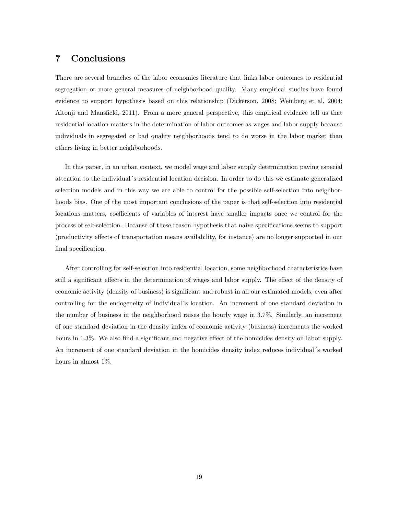## 7 Conclusions

There are several branches of the labor economics literature that links labor outcomes to residential segregation or more general measures of neighborhood quality. Many empirical studies have found evidence to support hypothesis based on this relationship (Dickerson, 2008; Weinberg et al, 2004; Altonji and Mansfield, 2011). From a more general perspective, this empirical evidence tell us that residential location matters in the determination of labor outcomes as wages and labor supply because individuals in segregated or bad quality neighborhoods tend to do worse in the labor market than others living in better neighborhoods.

In this paper, in an urban context, we model wage and labor supply determination paying especial attention to the individual's residential location decision. In order to do this we estimate generalized selection models and in this way we are able to control for the possible self-selection into neighborhoods bias. One of the most important conclusions of the paper is that self-selection into residential locations matters, coefficients of variables of interest have smaller impacts once we control for the process of self-selection. Because of these reason hypothesis that naive specifications seems to support (productivity effects of transportation means availability, for instance) are no longer supported in our final specification.

After controlling for self-selection into residential location, some neighborhood characteristics have still a significant effects in the determination of wages and labor supply. The effect of the density of economic activity (density of business) is significant and robust in all our estimated models, even after controlling for the endogeneity of individual's location. An increment of one standard deviation in the number of business in the neighborhood raises the hourly wage in 3.7%. Similarly, an increment of one standard deviation in the density index of economic activity (business) increments the worked hours in 1.3%. We also find a significant and negative effect of the homicides density on labor supply. An increment of one standard deviation in the homicides density index reduces individual's worked hours in almost 1%.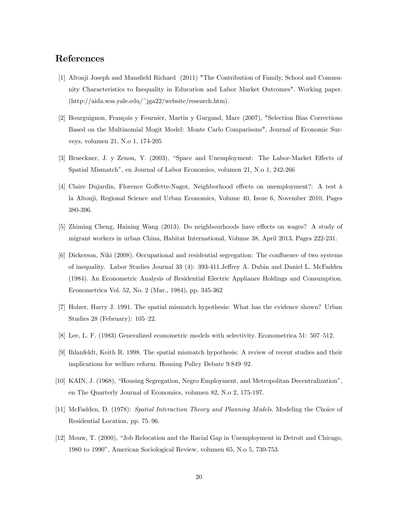## References

- [1] Altonji Joseph and Mansfield Richard (2011) "The Contribution of Family, School and Community Characteristics to Inequality in Education and Labor Market Outcomes". Working paper. (http://aida.wss.yale.edu/~jga22/website/research.htm).
- [2] Bourguignon, François y Fournier, Martin y Gurgand, Marc (2007), "Selection Bias Corrections Based on the Multinomial Mogit Model: Monte Carlo Comparisons", Journal of Economic Surveys, volumen 21, N.o 1, 174-205
- [3] Brueckner, J. y Zenou, Y. (2003), "Space and Unemployment: The Labor-Market Effects of Spatial Mismatch<sup>n</sup>, en Journal of Labor Economics, volumen 21, N.o 1, 242-266
- [4] Claire Dujardin, Florence Goffette-Nagot, Neighborhood effects on unemployment?: A test à la Altonji, Regional Science and Urban Economics, Volume 40, Issue 6, November 2010, Pages 380-396.
- [5] Zhiming Cheng, Haining Wang (2013). Do neighbourhoods have effects on wages? A study of migrant workers in urban China, Habitat International, Volume 38, April 2013, Pages 222-231.
- [6] Dickerson, Niki (2008). Occupational and residential segregation: The conáuence of two systems of inequality. Labor Studies Journal 33 (4): 393-411. Jeffrey A. Dubin and Daniel L. McFadden (1984). An Econometric Analysis of Residential Electric Appliance Holdings and Consumption. Econometrica Vol. 52, No. 2 (Mar., 1984), pp. 345-362
- [7] Holzer, Harry J. 1991. The spatial mismatch hypothesis: What has the evidence shown? Urban Studies  $28$  (February):  $105-22$ .
- [8] Lee, L. F. (1983) Generalized econometric models with selectivity. Econometrica 51: 507-512.
- [9] Ihlanfeldt, Keith R. 1998. The spatial mismatch hypothesis: A review of recent studies and their implications for welfare reform. Housing Policy Debate 9:849–92.
- [10] KAIN, J. (1968), "Housing Segregation, Negro Employment, and Metropolitan Decentralization", en The Quarterly Journal of Economics, volumen 82, N.o 2, 175-197.
- [11] McFadden, D. (1978): Spatial Interaction Theory and Planning Models. Modeling the Choice of Residential Location, pp. 75–96.
- [12] Mouw, T. (2000), "Job Relocation and the Racial Gap in Unemployment in Detroit and Chicago, 1980 to 1990î, American Sociological Review, volumen 65, N.o 5, 730-753.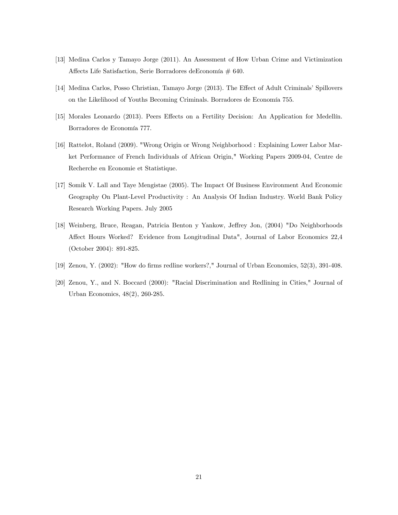- [13] Medina Carlos y Tamayo Jorge (2011). An Assessment of How Urban Crime and Victimization Affects Life Satisfaction, Serie Borradores deEconomía  $# 640$ .
- [14] Medina Carlos, Posso Christian, Tamayo Jorge (2013). The Effect of Adult Criminals' Spillovers on the Likelihood of Youths Becoming Criminals. Borradores de Economía 755.
- [15] Morales Leonardo (2013). Peers Effects on a Fertility Decision: An Application for Medellín. Borradores de Economía 777.
- [16] Rattelot, Roland (2009). "Wrong Origin or Wrong Neighborhood : Explaining Lower Labor Market Performance of French Individuals of African Origin," Working Papers 2009-04, Centre de Recherche en Economie et Statistique.
- [17] Somik V. Lall and Taye Mengistae (2005). The Impact Of Business Environment And Economic Geography On Plant-Level Productivity : An Analysis Of Indian Industry. World Bank Policy Research Working Papers. July 2005
- [18] Weinberg, Bruce, Reagan, Patricia Benton y Yankow, Jeffrey Jon, (2004) "Do Neighborhoods Affect Hours Worked? Evidence from Longitudinal Data", Journal of Labor Economics 22,4 (October 2004): 891-825.
- [19] Zenou, Y. (2002): "How do Örms redline workers?," Journal of Urban Economics, 52(3), 391-408.
- [20] Zenou, Y., and N. Boccard (2000): "Racial Discrimination and Redlining in Cities," Journal of Urban Economics, 48(2), 260-285.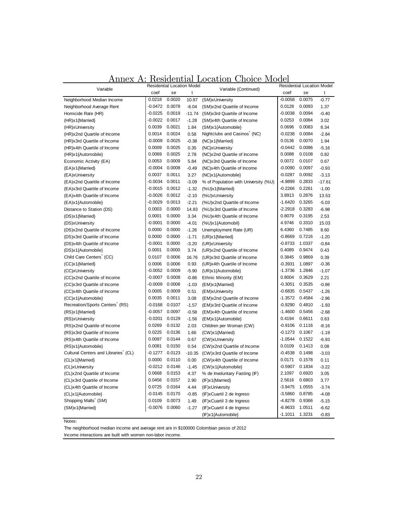| Variable                                         |                    | <b>Residential Location Model</b> |          | Variable (Continued)                         |           | <b>Residential Location Model</b> |          |
|--------------------------------------------------|--------------------|-----------------------------------|----------|----------------------------------------------|-----------|-----------------------------------|----------|
|                                                  | coef               | se                                | t        |                                              | coef      | se                                | t        |
| Neighborhood Median Income                       | 0.0218             | 0.0020                            | 10.87    | (SM)xUniversity                              | $-0.0058$ | 0.0075                            | $-0.77$  |
| Neighborhood Average Rent                        | -0.0472            | 0.0078                            | $-6.04$  | (SM)x2nd Quartile of Income                  | 0.0128    | 0.0093                            | 1.37     |
| Homicide Rate (HR)                               | -0.0225            | 0.0019                            | $-11.74$ | (SM)x3rd Quartile of Income                  | $-0.0038$ | 0.0094                            | $-0.40$  |
| (HR)x1{Married}                                  | $-0.0022$          | 0.0017                            | $-1.28$  | (SM)x4th Quartile of Income                  | 0.0253    | 0.0084                            | 3.02     |
| (HR)xUniversity                                  | 0.0039             | 0.0021                            | 1.84     | (SM)x1{Automobile}                           | 0.0696    | 0.0083                            | 8.34     |
| (HR)x2nd Quartile of Income                      | 0.0014             | 0.0024                            | 0.58     | Nightclubs and Casinos <sup>*</sup> (NC)     | $-0.0238$ | 0.0084                            | $-2.84$  |
| (HR)x3rd Quartile of Income                      | $-0.0009$          | 0.0025                            | $-0.38$  | (NC)x1{Married}                              | 0.0136    | 0.0070                            | 1.94     |
| (HR)x4th Quartile of Income                      | 0.0009             | 0.0025                            | 0.35     | (NC) x University                            | -0.0442   | 0.0086                            | $-5.16$  |
| (HR)x1{Automobile}                               | 0.0069             | 0.0025                            | 2.78     | (NC)x2nd Quartile of Income                  | 0.0088    | 0.0108                            | 0.82     |
| Economic Activity (EA)                           | 0.0053             | 0.0009                            | 5.84     | (NC)x3rd Quartile of Income                  | 0.0072    | 0.0107                            | 0.67     |
| (EA)x1{Married}                                  | $-0.0004$          | 0.0008                            | $-0.49$  | (NC)x4th Quartile of Income                  | $-0.0090$ | 0.0097                            | $-0.93$  |
| (EA)xUniversity                                  | 0.0037             | 0.0011                            | 3.27     | (NC)x1{Automobile}                           | $-0.0287$ | 0.0092                            | $-3.13$  |
| (EA)x2nd Quartile of Income                      | $-0.0034$          | 0.0011                            | $-3.09$  | % of Population with University (%U)         | $-4.9899$ | 0.2833                            | $-17.61$ |
| (EA)x3rd Quartile of Income                      | $-0.0015$          | 0.0012                            | $-1.32$  | $(\%U)x1$ {Married}                          | $-0.2266$ | 0.2261                            | $-1.00$  |
| (EA)x4th Quartile of Income                      | $-0.0026$          | 0.0012                            | $-2.10$  | (%U)xUniversity                              | 3.8913    | 0.2876                            | 13.53    |
| (EA)x1{Automobile}                               | -0.0029            | 0.0013                            | $-2.21$  | (%U)x2nd Quartile of Income                  | $-1.6420$ | 0.3265                            | $-5.03$  |
| Distance to Station (DS)                         | 0.0003             | 0.0000                            | 14.83    | (%U)x3rd Quartile of Income                  | $-2.2918$ | 0.3283                            | $-6.98$  |
| (DS)x1{Married}                                  | 0.0001             | 0.0000                            | 3.34     | (%U)x4th Quartile of Income                  | 0.8079    | 0.3195                            | 2.53     |
| (DS)xUniversity                                  | $-0.0001$          | 0.0000                            | $-4.01$  | (%U)x1{Automobil}                            | 4.9746    | 0.3310                            | 15.03    |
| (DS)x2nd Quartile of Income                      | 0.0000             | 0.0000                            | $-1.26$  | Unemployment Rate (UR)                       | 6.4360    | 0.7485                            | 8.60     |
| (DS)x3rd Quartile of Income                      | 0.0000             | 0.0000                            | $-1.71$  | (UR)x1{Married}                              | $-0.8669$ | 0.7216                            | $-1.20$  |
| (DS)x4th Quartile of Income                      | -0.0001            | 0.0000                            | $-3.20$  | (UR) x University                            | -0.8733   | 1.0337                            | $-0.84$  |
| (DS)x1{Automobile}                               | 0.0001             | 0.0000                            | 3.74     | (UR) x2nd Quartile of Income                 | 0.4089    | 0.9474                            | 0.43     |
| Child Care Centers <sup>®</sup> (CC)             | 0.0107             | 0.0006                            | 16.76    | (UR)x3rd Quartile of Income                  | 0.3845    | 0.9869                            | 0.39     |
| (CC)x1{Married}                                  | 0.0006             | 0.0006                            | 0.93     | (UR) x4th Quartile of Income                 | $-0.3931$ | 1.0897                            | $-0.36$  |
| (CC)xUniversity                                  | $-0.0052$          | 0.0009                            | $-5.90$  | (UR)x1{Automobile}                           | $-1.3736$ | 1.2846                            | $-1.07$  |
| (CC)x2nd Quartile of Income                      | $-0.0007$          | 0.0008                            | $-0.86$  | Ethnic Minority (EM)                         | 0.8004    | 0.3629                            | 2.21     |
| (CC)x3rd Quartile of Income                      | $-0.0009$          | 0.0008                            | $-1.03$  | (EM)x1{Married}                              | $-0.3051$ | 0.3535                            | $-0.86$  |
| (CC)x4th Quartile of Income                      | 0.0005             | 0.0009                            | 0.51     | (EM)xUniversity                              | $-0.6835$ | 0.5437                            | $-1.26$  |
| (CC)x1{Automobile}                               | 0.0035             | 0.0011                            | 3.08     | (EM)x2nd Quartile of Income                  | -1.3572   | 0.4584                            | $-2.96$  |
| Recreation/Sports Centers <sup>®</sup> (RS)      | $-0.0168$          | 0.0107                            | $-1.57$  | (EM)x3rd Quartile of Income                  | $-0.9290$ | 0.4810                            | $-1.93$  |
| (RS)x1{Married}                                  | $-0.0057$          | 0.0097                            | $-0.58$  | (EM)x4th Quartile of Income                  | $-1.4600$ | 0.5456                            | $-2.68$  |
| (RS) x University                                | $-0.0201$          | 0.0129                            | $-1.56$  | (EM)x1{Automobile}                           | 0.4194    | 0.6611                            | 0.63     |
| (RS)x2nd Quartile of Income                      | 0.0269             | 0.0132                            | 2.03     | Children per Woman (CW)                      | $-0.9106$ | 0.1116                            | $-8.16$  |
| (RS)x3rd Quartile of Income                      | 0.0225             | 0.0136                            | 1.66     | (CW)x1{Married}                              | $-0.1273$ | 0.1067                            | $-1.19$  |
| (RS)x4th Quartile of Income                      | 0.0097             | 0.0144                            | 0.67     | (CW)xUniversity                              | $-1.0544$ | 0.1522                            | $-6.93$  |
| (RS)x1{Automobile}                               | 0.0081             | 0.0150                            | 0.54     | (CW)x2nd Quartile of Income                  | 0.0109    | 0.1413                            | 0.08     |
| Cultural Centers and Libraries <sup>®</sup> (CL) | -0.1277            | 0.0123                            | $-10.35$ | (CW)x3rd Quartile of Income                  | $-0.4538$ | 0.1498                            | $-3.03$  |
| (CL)x1{Married}                                  | 0.0000             | 0.0110                            | 0.00     | (CW)x4th Quartile of Income                  | 0.0171    | 0.1578                            | 0.11     |
| (CL)xUniversity                                  | $-0.0212$ $0.0146$ |                                   | $-1.45$  | (CW)x1{Automobile}                           | $-0.5907$ | 0.1834                            | $-3.22$  |
| (CL)x2nd Quartile of Income                      | 0.0668             | 0.0153                            | 4.37     | % de Involuntary Fasting (IF)                | 2.1097    | 0.6920                            | 3.05     |
| (CL)x3rd Quartile of Income                      | 0.0456             | 0.0157                            | 2.90     | $(\mathsf{IF})\times 1\{\mathsf{Married}\}\$ | 2.5616    | 0.6803                            | 3.77     |
| (CL)x4th Quartile of Income                      | 0.0725             | 0.0164                            | 4.44     | (IF) x University                            | $-3.9475$ | 1.0555                            | $-3.74$  |
| (CL)x1{Automobile}                               | $-0.0145$          | 0.0170                            | $-0.85$  | (IF) x Cuartil 2 de Ingreso                  | $-3.5860$ | 0.8785                            | $-4.08$  |
| Shopping Malls (SM)                              | 0.0109             | 0.0073                            | 1.49     | (IF) x Cuartil 3 de Ingreso                  | $-4.8278$ | 0.9366                            | $-5.15$  |
| (SM)x1{Married}                                  | $-0.0076$          | 0.0060                            | $-1.27$  | (IF) x Cuartil 4 de Ingreso                  | $-6.9633$ | 1.0511                            | $-6.62$  |
|                                                  |                    |                                   |          | (IF)x1{Automobile}                           | $-1.1011$ | 1.3231                            | $-0.83$  |

## Annex A: Residential Location Choice Model

Notes:

The neighborhood median income and average rent are in \$100000 Colombian pesos of 2012 Income interactions are built with women non-labor income.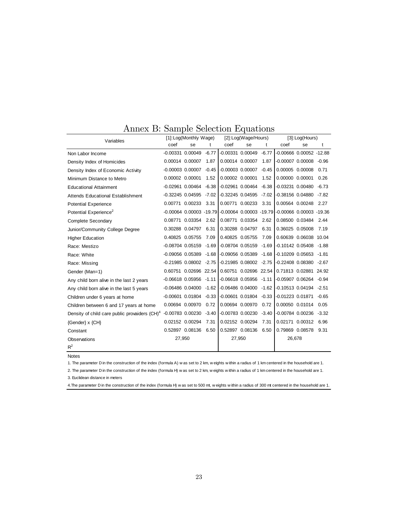| Annex B: Sample Selection Equations |  |
|-------------------------------------|--|
|-------------------------------------|--|

| Variables                                        |                              | [1]:Log(Monthly Wage)        |         |                                                           | [2]:Log(Wage/Hours)          |         |                               | [3]:Log(Hours)                |         |
|--------------------------------------------------|------------------------------|------------------------------|---------|-----------------------------------------------------------|------------------------------|---------|-------------------------------|-------------------------------|---------|
|                                                  | coef                         | se                           | t       | coef                                                      | se                           | t       | coef                          | se                            | t       |
| Non Labor Income                                 | $-0.00331$ $0.00049$         |                              | $-6.77$ |                                                           | $-0.00331$ $0.00049$         | $-6.77$ |                               | $-0.00666$ $0.00052$ $-12.88$ |         |
| Density Index of Homicides                       |                              | 0.00014 0.00007              | 1.87    |                                                           | 0.00014 0.00007              | 1.87    |                               | -0.00007 0.00008 -0.96        |         |
| Density Index of Economic Activity               | $-0.00003$ $0.00007$         |                              | $-0.45$ | $-0.00003$ 0.00007                                        |                              | $-0.45$ |                               | 0.00005 0.00008               | 0.71    |
| Minimum Distance to Metro                        | 0.00002 0.00001              |                              | 1.52    | 0.00002 0.00001                                           |                              | 1.52    |                               | 0.00000 0.00001               | 0.26    |
| <b>Educational Attainment</b>                    | $-0.02961$ $0.00464$         |                              | $-6.38$ | $-0.02961$ $0.00464$ $-6.38$                              |                              |         |                               | -0.03231 0.00480 -6.73        |         |
| <b>Attends Educational Establishment</b>         |                              |                              |         | $-0.32245$ $0.04595$ $-7.02$ $-0.32245$ $0.04595$ $-7.02$ |                              |         |                               | $-0.38156$ $0.04880$ $-7.82$  |         |
| <b>Potential Experience</b>                      |                              | 0.00771 0.00233 3.31         |         |                                                           | 0.00771 0.00233              | 3.31    |                               | 0.00564 0.00248 2.27          |         |
| Potential Experience <sup>2</sup>                |                              |                              |         | $-0.00064$ 0.00003 $-19.79$ $-0.00064$ 0.00003 $-19.79$   |                              |         | $-0.00066$ $0.00003$ $-19.36$ |                               |         |
| Complete Secondary                               |                              | 0.08771 0.03354 2.62         |         |                                                           | 0.08771 0.03354              | 2.62    |                               | 0.08500 0.03484 2.44          |         |
| Junior/Community College Degree                  |                              | 0.30288 0.04797              | 6.31    |                                                           | 0.30288 0.04797              | 6.31    |                               | 0.36025 0.05008               | 7.19    |
| <b>Higher Education</b>                          |                              | 0.40825 0.05755              | 7.09    |                                                           | 0.40825 0.05755              | 7.09    |                               | 0.60639 0.06038 10.04         |         |
| Race: Mestizo                                    | $-0.08704$ $0.05159$ $-1.69$ |                              |         |                                                           | -0.08704 0.05159 -1.69       |         |                               | $-0.10142$ $0.05408$ $-1.88$  |         |
| Race: White                                      |                              | $-0.09056$ $0.05389$ $-1.68$ |         | $-0.09056$ $0.05389$ $-1.68$                              |                              |         |                               | $-0.10209$ $0.05653$ $-1.81$  |         |
| Race: Missing                                    | $-0.21985$ $0.08002$ $-2.75$ |                              |         |                                                           | -0.21985 0.08002 -2.75       |         |                               | -0.22408 0.08380 -2.67        |         |
| Gender (Man=1)                                   |                              | 0.60751 0.02696 22.54        |         |                                                           | 0.60751 0.02696 22.54        |         |                               | 0.71813 0.02881 24.92         |         |
| Any child born alive in the last 2 years         | $-0.06618$ $0.05956$ $-1.11$ |                              |         |                                                           | $-0.06618$ $0.05956$ $-1.11$ |         |                               | -0.05907 0.06264 -0.94        |         |
| Any child born alive in the last 5 years         | $-0.06486$ $0.04000$ $-1.62$ |                              |         | $-0.06486$ $0.04000$ $-1.62$                              |                              |         |                               | $-0.10513$ $0.04194$ $-2.51$  |         |
| Children under 6 years at home                   | $-0.00601$ $0.01804$         |                              |         | $-0.33$ $-0.00601$ 0.01804 $-0.33$                        |                              |         | -0.01223 0.01871              |                               | $-0.65$ |
| Children between 6 and 17 years at home          |                              | 0.00694 0.00970 0.72         |         |                                                           | 0.00694 0.00970              | 0.72    |                               | 0.00050 0.01014 0.05          |         |
| Density of child care public provaiders $(CH)^4$ | $-0.00783$ $0.00230$         |                              | $-3.40$ |                                                           | $-0.00783$ $0.00230$ $-3.40$ |         |                               | $-0.00784$ $0.00236$ $-3.32$  |         |
| {Gender} x {CH}                                  |                              | 0.02152 0.00294 7.31         |         |                                                           | 0.02152 0.00294              | 7.31    |                               | 0.02171 0.00312 6.96          |         |
| Constant                                         |                              | 0.52897 0.08136 6.50         |         |                                                           | 0.52897 0.08136              | 6.50    |                               | 0.79869 0.08578               | 9.31    |
| Observations                                     | 27,950                       |                              |         | 27,950                                                    |                              |         | 26,678                        |                               |         |
| $R^2$                                            |                              |                              |         |                                                           |                              |         |                               |                               |         |

Notes

1. The parameter D in the construction of the index (formula A) w as set to 2 km, w eights w ithin a radius of 1 km centered in the household are 1.

2. The parameter D in the construction of the index (formula H) w as set to 2 km, w eights w ithin a radius of 1 km centered in the household are 1.

3. Euclidean distance in meters

4.The parameter D in the construction of the index (formula H) w as set to 500 mt, w eights w ithin a radius of 300 mt centered in the household are 1.